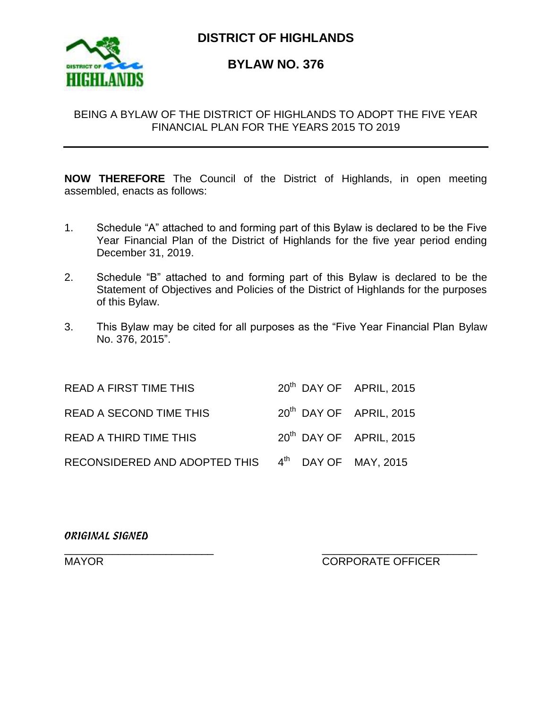

**DISTRICT OF HIGHLANDS**

# **BYLAW NO. 376**

## BEING A BYLAW OF THE DISTRICT OF HIGHLANDS TO ADOPT THE FIVE YEAR FINANCIAL PLAN FOR THE YEARS 2015 TO 2019

**NOW THEREFORE** The Council of the District of Highlands, in open meeting assembled, enacts as follows:

- 1. Schedule "A" attached to and forming part of this Bylaw is declared to be the Five Year Financial Plan of the District of Highlands for the five year period ending December 31, 2019.
- 2. Schedule "B" attached to and forming part of this Bylaw is declared to be the Statement of Objectives and Policies of the District of Highlands for the purposes of this Bylaw.
- 3. This Bylaw may be cited for all purposes as the "Five Year Financial Plan Bylaw No. 376, 2015".

| <b>READ A FIRST TIME THIS</b>                      | 20 <sup>th</sup> DAY OF APRIL, 2015 |  |
|----------------------------------------------------|-------------------------------------|--|
| <b>READ A SECOND TIME THIS</b>                     | 20 <sup>th</sup> DAY OF APRIL, 2015 |  |
| <b>READ A THIRD TIME THIS</b>                      | 20 <sup>th</sup> DAY OF APRIL, 2015 |  |
| RECONSIDERED AND ADOPTED THIS 4th DAY OF MAY, 2015 |                                     |  |

*ORIGINAL SIGNED*

\_\_\_\_\_\_\_\_\_\_\_\_\_\_\_\_\_\_\_\_\_\_\_\_\_ \_\_\_\_\_\_\_\_\_\_\_\_\_\_\_\_\_\_\_\_\_\_\_\_\_\_ MAYOR **MAYOR** CORPORATE OFFICER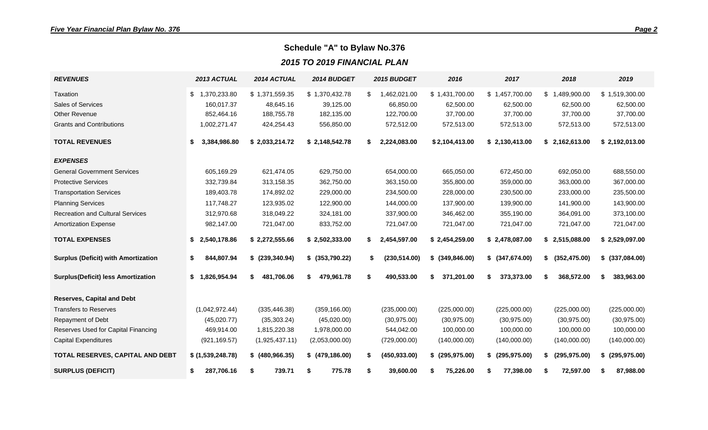# **Schedule "A" to Bylaw No.376**

*2015 TO 2019 FINANCIAL PLAN*

| <b>REVENUES</b>                            | 2013 ACTUAL        | 2014 ACTUAL      | 2014 BUDGET      | 2015 BUDGET         | 2016                | 2017             | 2018                      | 2019                |
|--------------------------------------------|--------------------|------------------|------------------|---------------------|---------------------|------------------|---------------------------|---------------------|
| Taxation                                   | 1,370,233.80<br>\$ | \$1,371,559.35   | \$1,370,432.78   | 1,462,021.00<br>\$  | \$1,431,700.00      | \$1,457,700.00   | 489,900.00<br>$$^{\circ}$ | \$1,519,300.00      |
| Sales of Services                          | 160,017.37         | 48,645.16        | 39,125.00        | 66,850.00           | 62,500.00           | 62,500.00        | 62,500.00                 | 62,500.00           |
| Other Revenue                              | 852,464.16         | 188,755.78       | 182,135.00       | 122,700.00          | 37,700.00           | 37,700.00        | 37,700.00                 | 37,700.00           |
| <b>Grants and Contributions</b>            | 1,002,271.47       | 424,254.43       | 556,850.00       | 572,512.00          | 572,513.00          | 572,513.00       | 572,513.00                | 572,513.00          |
| <b>TOTAL REVENUES</b>                      | \$<br>3,384,986.80 | \$2,033,214.72   | \$2,148,542.78   | 2,224,083.00<br>S.  | \$2,104,413.00      | \$2,130,413.00   | \$2,162,613.00            | \$2,192,013.00      |
| <b>EXPENSES</b>                            |                    |                  |                  |                     |                     |                  |                           |                     |
| <b>General Government Services</b>         | 605,169.29         | 621,474.05       | 629,750.00       | 654,000.00          | 665,050.00          | 672,450.00       | 692,050.00                | 688,550.00          |
| <b>Protective Services</b>                 | 332,739.84         | 313,158.35       | 362,750.00       | 363,150.00          | 355,800.00          | 359,000.00       | 363,000.00                | 367,000.00          |
| <b>Transportation Services</b>             | 189,403.78         | 174,892.02       | 229,000.00       | 234,500.00          | 228,000.00          | 230,500.00       | 233,000.00                | 235,500.00          |
| <b>Planning Services</b>                   | 117,748.27         | 123,935.02       | 122,900.00       | 144,000.00          | 137,900.00          | 139,900.00       | 141,900.00                | 143,900.00          |
| <b>Recreation and Cultural Services</b>    | 312,970.68         | 318,049.22       | 324,181.00       | 337,900.00          | 346,462.00          | 355,190.00       | 364,091.00                | 373,100.00          |
| <b>Amortization Expense</b>                | 982,147.00         | 721,047.00       | 833,752.00       | 721,047.00          | 721,047.00          | 721,047.00       | 721,047.00                | 721,047.00          |
| <b>TOTAL EXPENSES</b>                      | \$<br>2,540,178.86 | \$2,272,555.66   | \$2,502,333.00   | 2,454,597.00<br>S.  | \$2,454,259.00      | \$2,478,087.00   | \$2,515,088.00            | \$2,529,097.00      |
| <b>Surplus (Deficit) with Amortization</b> | \$<br>844,807.94   | $$$ (239,340.94) | $$$ (353,790.22) | (230, 514.00)<br>\$ | $$$ (349,846.00)    | \$ (347,674.00)  | (352, 475.00)<br>\$       | $$$ (337,084.00)    |
| <b>Surplus(Deficit) less Amortization</b>  | \$<br>1,826,954.94 | 481,706.06<br>\$ | 479,961.78<br>\$ | 490,533.00<br>\$    | 371,201.00<br>\$    | 373,373.00<br>\$ | 368,572.00<br>\$          | 383,963.00<br>\$    |
| <b>Reserves, Capital and Debt</b>          |                    |                  |                  |                     |                     |                  |                           |                     |
| <b>Transfers to Reserves</b>               | (1,042,972.44)     | (335, 446.38)    | (359, 166.00)    | (235,000.00)        | (225,000.00)        | (225,000.00)     | (225,000.00)              | (225,000.00)        |
| Repayment of Debt                          | (45,020.77)        | (35, 303.24)     | (45,020.00)      | (30, 975.00)        | (30, 975.00)        | (30, 975.00)     | (30, 975.00)              | (30, 975.00)        |
| Reserves Used for Capital Financing        | 469,914.00         | 1,815,220.38     | 1,978,000.00     | 544,042.00          | 100,000.00          | 100,000.00       | 100,000.00                | 100,000.00          |
| <b>Capital Expenditures</b>                | (921, 169.57)      | (1,925,437.11)   | (2,053,000.00)   | (729,000.00)        | (140,000.00)        | (140,000.00)     | (140,000.00)              | (140,000.00)        |
| TOTAL RESERVES, CAPITAL AND DEBT           | \$ (1,539,248.78)  | $$$ (480,966.35) | \$ (479, 186.00) | (450, 933.00)       | (295, 975.00)<br>S. | (295, 975.00)    | (295, 975.00)<br>S        | (295, 975.00)<br>\$ |
| <b>SURPLUS (DEFICIT)</b>                   | \$<br>287,706.16   | 739.71<br>\$     | 775.78<br>\$     | 39,600.00<br>S      | 75,226.00<br>S      | 77,398.00        | 72,597.00<br>S            | 87,988.00<br>- \$   |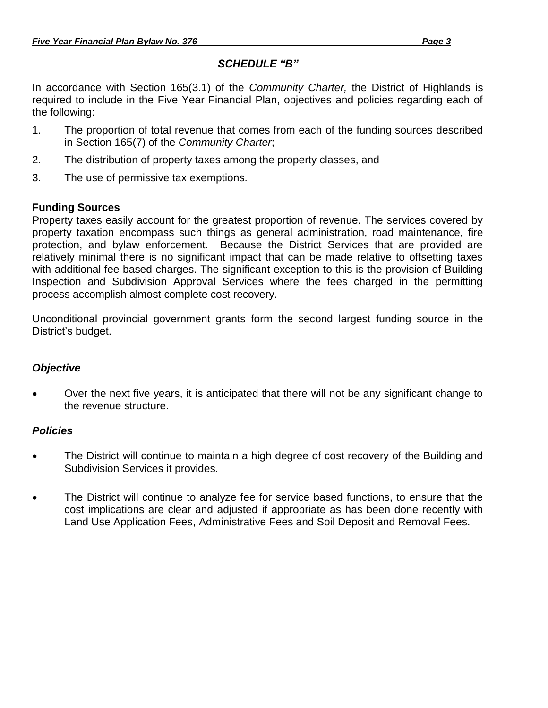# *SCHEDULE "B"*

In accordance with Section 165(3.1) of the *Community Charter,* the District of Highlands is required to include in the Five Year Financial Plan, objectives and policies regarding each of the following:

- 1. The proportion of total revenue that comes from each of the funding sources described in Section 165(7) of the *Community Charter*;
- 2. The distribution of property taxes among the property classes, and
- 3. The use of permissive tax exemptions.

## **Funding Sources**

Property taxes easily account for the greatest proportion of revenue. The services covered by property taxation encompass such things as general administration, road maintenance, fire protection, and bylaw enforcement. Because the District Services that are provided are relatively minimal there is no significant impact that can be made relative to offsetting taxes with additional fee based charges. The significant exception to this is the provision of Building Inspection and Subdivision Approval Services where the fees charged in the permitting process accomplish almost complete cost recovery.

Unconditional provincial government grants form the second largest funding source in the District's budget.

# *Objective*

 Over the next five years, it is anticipated that there will not be any significant change to the revenue structure.

#### *Policies*

- The District will continue to maintain a high degree of cost recovery of the Building and Subdivision Services it provides.
- The District will continue to analyze fee for service based functions, to ensure that the cost implications are clear and adjusted if appropriate as has been done recently with Land Use Application Fees, Administrative Fees and Soil Deposit and Removal Fees.